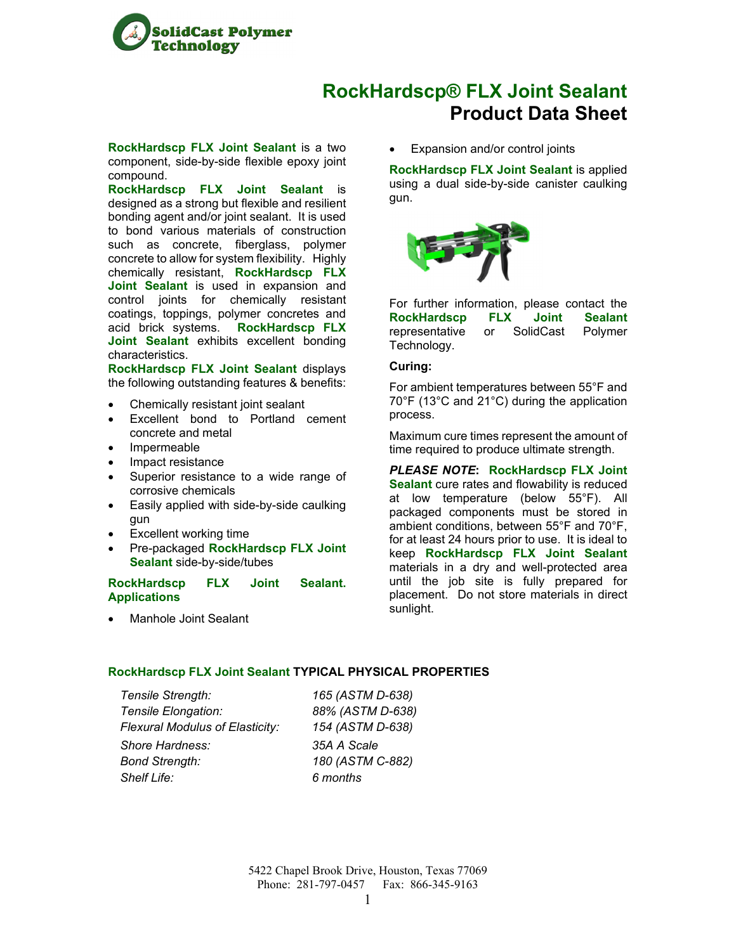

# **RockHardscp® FLX Joint Sealant Product Data Sheet**

**RockHardscp FLX Joint Sealant** is a two component, side-by-side flexible epoxy joint compound.

**RockHardscp FLX Joint Sealant** is designed as a strong but flexible and resilient bonding agent and/or joint sealant. It is used to bond various materials of construction such as concrete, fiberglass, polymer concrete to allow for system flexibility. Highly chemically resistant, **RockHardscp FLX Joint Sealant** is used in expansion and control joints for chemically resistant coatings, toppings, polymer concretes and acid brick systems. **RockHardscp FLX Joint Sealant** exhibits excellent bonding characteristics.

**RockHardscp FLX Joint Sealant** displays the following outstanding features & benefits:

- Chemically resistant joint sealant
- Excellent bond to Portland cement concrete and metal
- Impermeable
- Impact resistance
- Superior resistance to a wide range of corrosive chemicals
- Easily applied with side-by-side caulking **gun**
- Excellent working time
- Pre-packaged **RockHardscp FLX Joint Sealant** side-by-side/tubes

#### **RockHardscp FLX Joint Sealant. Applications**

Manhole Joint Sealant

Expansion and/or control joints

**RockHardscp FLX Joint Sealant** is applied using a dual side-by-side canister caulking gun.



For further information, please contact the **RockHardscp FLX Joint Sealant** representative or SolidCast Polymer Technology.

### **Curing:**

For ambient temperatures between 55°F and 70°F (13°C and 21°C) during the application process.

Maximum cure times represent the amount of time required to produce ultimate strength.

*PLEASE NOTE***: RockHardscp FLX Joint Sealant** cure rates and flowability is reduced at low temperature (below 55°F). All packaged components must be stored in ambient conditions, between 55°F and 70°F, for at least 24 hours prior to use. It is ideal to keep **RockHardscp FLX Joint Sealant** materials in a dry and well-protected area until the job site is fully prepared for placement. Do not store materials in direct sunlight.

### **RockHardscp FLX Joint Sealant TYPICAL PHYSICAL PROPERTIES**

*Tensile Strength: 165 (ASTM D-638) Tensile Elongation: 88% (ASTM D-638) Flexural Modulus of Elasticity: 154 (ASTM D-638) Shore Hardness: 35A A Scale Bond Strength: 180 (ASTM C-882) Shelf Life: 6 months*